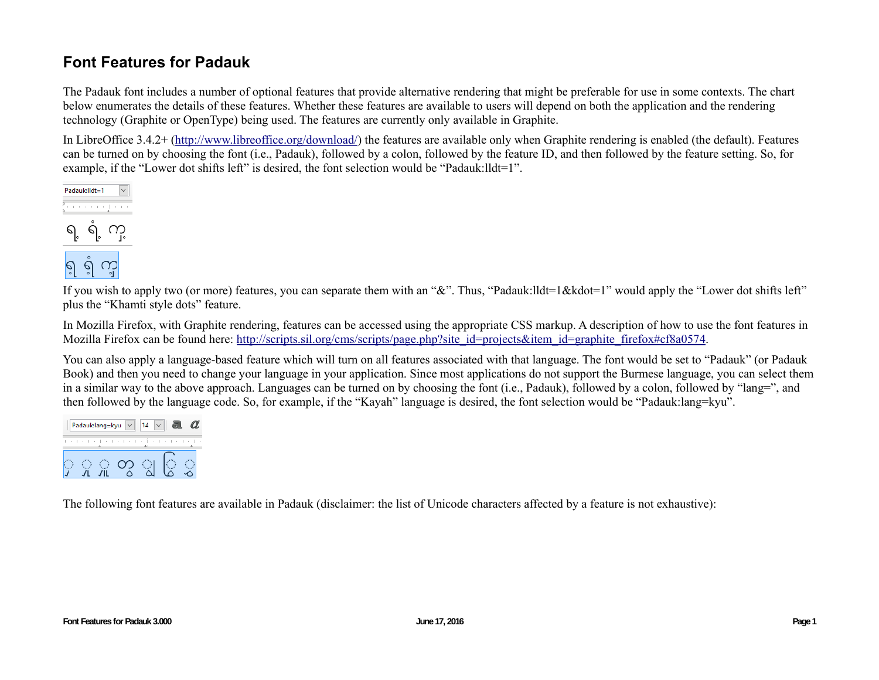## **Font Features for Padauk**

The Padauk font includes a number of optional features that provide alternative rendering that might be preferable for use in some contexts. The chart below enumerates the details of these features. Whether these features are available to users will depend on both the application and the rendering technology (Graphite or OpenType) being used. The features are currently only available in Graphite.

In LibreOffice 3.4.2+ (http://www.libreoffice.org/download/) the features are available only when Graphite rendering is enabled (the default). Features can be turned on by choosing the font (i.e., Padauk), followed by a colon, followed by the feature ID, and then followed by the feature setting. So, for example, if the "Lower dot shifts left" is desired, the font selection would be "Padauk: lldt=1".



If you wish to apply two (or more) features, you can separate them with an "&". Thus, "Padauk:lldt=1&kdot=1" would apply the "Lower dot shifts left" plus the "Khamti style dots" feature.

In Mozilla Firefox, with Graphite rendering, features can be accessed using the appropriate CSS markup. A description of how to use the font features in Mozilla Firefox can be found here: http://scripts.sil.org/cms/scripts/page.php?site\_id=projects&item\_id=graphite\_firefox#cf8a0574.

You can also apply a language-based feature which will turn on all features associated with that language. The font would be set to "Padauk" (or Padauk Book) and then you need to change your language in your application. Since most applications do not support the Burmese language, you can select them in a similar way to the above approach. Languages can be turned on by choosing the font (i.e., Padauk), followed by a colon, followed by "lang=", and then followed by the language code. So, for example, if the "Kayah" language is desired, the font selection would be "Padauk:lang=kyu".

|  | Padauk:lang=kyu |        |         |        |  |
|--|-----------------|--------|---------|--------|--|
|  |                 | $\sim$ | $1 + 1$ | $\sim$ |  |
|  |                 |        |         |        |  |

The following font features are available in Padauk (disclaimer: the list of Unicode characters affected by a feature is not exhaustive):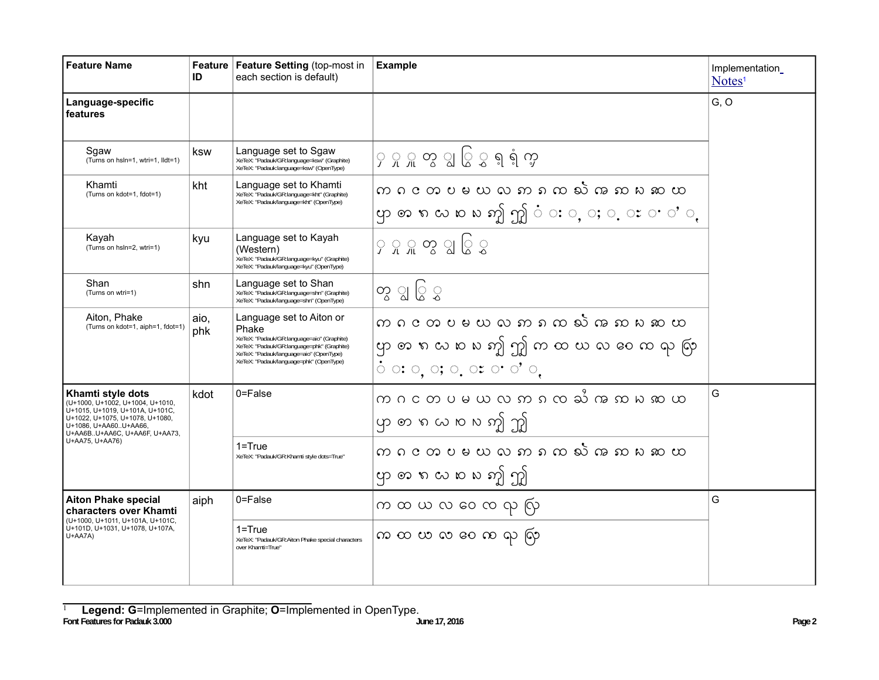| <b>Feature Name</b>                                                                                                                                                                                                                              | ID                                                                                                                                                                                                                                                         | Feature   Feature Setting (top-most in<br>each section is default)                                                                                                                                                  | <b>Example</b>                                                                                                                                            | Implementation<br>Notes <sup>1</sup> |
|--------------------------------------------------------------------------------------------------------------------------------------------------------------------------------------------------------------------------------------------------|------------------------------------------------------------------------------------------------------------------------------------------------------------------------------------------------------------------------------------------------------------|---------------------------------------------------------------------------------------------------------------------------------------------------------------------------------------------------------------------|-----------------------------------------------------------------------------------------------------------------------------------------------------------|--------------------------------------|
| Language-specific<br>features                                                                                                                                                                                                                    |                                                                                                                                                                                                                                                            |                                                                                                                                                                                                                     |                                                                                                                                                           | G, O                                 |
| Sqaw<br>(Turns on hsln=1, wtri=1, lldt=1)                                                                                                                                                                                                        | ksw                                                                                                                                                                                                                                                        | Language set to Sgaw<br>၄ ၇ ှု တွ ျွ ြွ ွ ရ ရံ ကွ<br>XeTeX: "Padauk/GR:language=ksw" (Graphite)<br>XeTeX: "Padauk:language=ksw" (OpenType)                                                                          |                                                                                                                                                           |                                      |
| Khamti<br>(Turns on kdot=1, fdot=1)                                                                                                                                                                                                              | Language set to Khamti<br>kht<br>XeTeX: "Padauk/GR:language=kht" (Graphite)<br>XeTeX: "Padauk/language=kht" (OpenType)                                                                                                                                     |                                                                                                                                                                                                                     | က ဂငတပမယ လ ဢ ၵ က လ် က ဢ ၵ ဢ တ<br>ဟုတၵလၑႜၑဢၟ႞ဤဴ ઃ ့ ့ ေ း ေပ' ့                                                                                            |                                      |
| Kayah<br>(Turns on hsln=2, wtri=1)                                                                                                                                                                                                               | Language set to Kayah<br>kyu<br>(Western)<br>XeTeX: "Padauk/GR:language=kyu" (Graphite)<br>XeTeX: "Padauk/language=kyu" (OpenType)<br>Language set to Shan<br>shn<br>XeTeX: "Padauk/GR:language=shn" (Graphite)<br>XeTeX: "Padauk/language=shn" (OpenType) |                                                                                                                                                                                                                     | ၄ ၄ ၅ တွ ျွ ပြွ ပွ                                                                                                                                        |                                      |
| Shan<br>(Turns on wtri=1)                                                                                                                                                                                                                        |                                                                                                                                                                                                                                                            |                                                                                                                                                                                                                     | 'တွ ျွ ြွ ွ                                                                                                                                               |                                      |
| Aiton, Phake<br>(Turns on kdot=1, aiph=1, fdot=1)                                                                                                                                                                                                | aio,<br>phk                                                                                                                                                                                                                                                | Language set to Aiton or<br>Phake<br>XeTeX: "Padauk/GR:language=aio" (Graphite)<br>XeTeX: "Padauk/GR:language=phk" (Graphite)<br>XeTeX: "Padauk/language=aio" (OpenType)<br>XeTeX: "Padauk/language=phk" (OpenType) | က ဂ င တ ပ မ ယ လ ဢ ၵ က သဲ က ဢ ၵ ဢ ေတ<br>ဟုတၵလၑႜၑဢၟ႞ဤကထဃလမၻေထရှထုံ<br>$\circ$ $\circ$ ; $\circ$ , $\circ$ , $\circ$ $\circ$ $\circ$ $\circ$ $\circ$ $\circ$ |                                      |
| Khamti style dots<br>(U+1000, U+1002, U+1004, U+1010,<br>U+1015, U+1019, U+101A, U+101C,<br>U+1022, U+1075, U+1078, U+1080,<br>U+1086, U+AA60U+AA66,<br>U+AA6BU+AA6C, U+AA6F, U+AA73,<br>U+AA75, U+AA76)                                         | $0 = False$<br>kdot<br>ဟုတၵယဂၢက ကြို<br>$1 = True$<br>XeTeX: "Padauk/GR:Khamti style dots=True"<br>ဟုတၵလၑႜၑဢ႞ဤ                                                                                                                                             |                                                                                                                                                                                                                     | က ဂ င တ ပ မ ယ လ ဢ ၵ ၸ ႀႆ က ဢ ႜ က ဆ ထ<br>က ဂ င တ ပ မ ယ လ ဢ ၵ က သဲ က ဢ ၵ ဢ ေထ                                                                               | G                                    |
| 0=False<br><b>Aiton Phake special</b><br>aiph<br>characters over Khamti<br>(U+1000, U+1011, U+101A, U+101C,<br>U+101D, U+1031, U+1078, U+107A,<br>$1 = True$<br>U+AA7A)<br>XeTeX: "Padauk/GR:Aiton Phake special characters<br>over Khamti=True" |                                                                                                                                                                                                                                                            |                                                                                                                                                                                                                     | က ထ ယ လ ဝေ ၸ လု လြ<br>က ထ ယ လ ဝေ က လှ လြ                                                                                                                  | G                                    |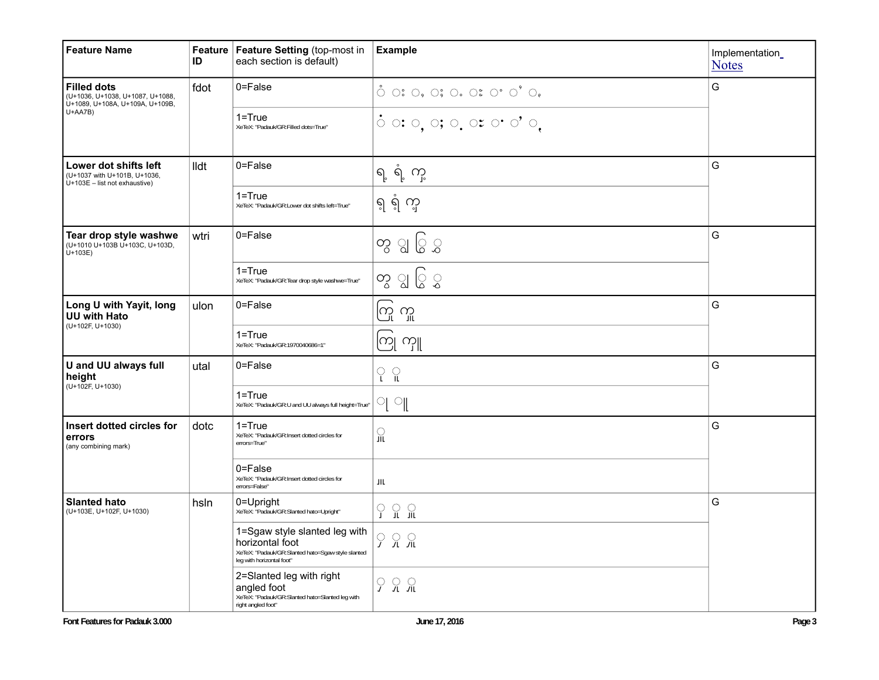| <b>Feature Name</b>                                                                       | ID   | Feature   Feature Setting (top-most in<br>each section is default)                                                                 | <b>Example</b>                                                                                                                                                                                                                                                                                                                                                                                                                                                                                                                                                                                                                                                                     | Implementation_<br><b>Notes</b> |  |
|-------------------------------------------------------------------------------------------|------|------------------------------------------------------------------------------------------------------------------------------------|------------------------------------------------------------------------------------------------------------------------------------------------------------------------------------------------------------------------------------------------------------------------------------------------------------------------------------------------------------------------------------------------------------------------------------------------------------------------------------------------------------------------------------------------------------------------------------------------------------------------------------------------------------------------------------|---------------------------------|--|
| <b>Filled dots</b><br>(U+1036, U+1038, U+1087, U+1088,<br>U+1089, U+108A, U+109A, U+109B, | fdot | $0 = False$                                                                                                                        | $\circlearrowright~\circlearrowleft~\circlearrowleft~\circlearrowright~\circlearrowright~\circlearrowright~\circlearrowright~\circlearrowright~\circlearrowright~\circlearrowright~\circlearrowright~\circlearrowleft~\circlearrowright~\circlearrowleft~\circlearrowright~\circlearrowright~\circlearrowright~\circlearrowright~\circlearrowright~\circlearrowright~\circlearrowright~\circlearrowright~\circlearrowright~\circlearrowright~\circlearrowright~\circlearrowright~\circlearrowright~\circlearrowright~\circlearrowright~\circlearrowright~\circlearrowright~\circlearrowright~\circlearrowright~\circlearrowright~\circlearrowright~\circlearrowright~\circlearrow$ | G                               |  |
| $U+AAYB)$                                                                                 |      | 1=True<br>XeTeX: "Padauk/GR:Filled dots=True"                                                                                      | $\circ \circ \circ$ , $\circ, \circ, \circ \circ \circ \circ \circ$                                                                                                                                                                                                                                                                                                                                                                                                                                                                                                                                                                                                                |                                 |  |
| Lower dot shifts left<br>(U+1037 with U+101B, U+1036,<br>$U+103E$ – list not exhaustive)  | lldt | 0=False                                                                                                                            | ရ့်ရံ့ ကု                                                                                                                                                                                                                                                                                                                                                                                                                                                                                                                                                                                                                                                                          | G                               |  |
|                                                                                           |      | $1 = True$<br>XeTeX: "Padauk/GR:Lower dot shifts left=True"                                                                        | ရ ရံ က္                                                                                                                                                                                                                                                                                                                                                                                                                                                                                                                                                                                                                                                                            |                                 |  |
| Tear drop style washwe<br>(U+1010 U+103B U+103C, U+103D,<br>$U + 103E$                    | wtri | 0=False                                                                                                                            | တွ ျွ ြွ ွ                                                                                                                                                                                                                                                                                                                                                                                                                                                                                                                                                                                                                                                                         | G                               |  |
|                                                                                           |      | $1 = True$<br>XeTeX: "Padauk/GR:Tear drop style washwe=True"                                                                       | တွ ျွပ္ခြဲ ွ                                                                                                                                                                                                                                                                                                                                                                                                                                                                                                                                                                                                                                                                       |                                 |  |
| Long U with Yayit, long<br><b>UU with Hato</b><br>(U+102F, U+1030)                        | ulon | 0=False                                                                                                                            | ကြ ကူ                                                                                                                                                                                                                                                                                                                                                                                                                                                                                                                                                                                                                                                                              | G                               |  |
|                                                                                           |      | $1 = True$<br>XeTeX: "Padauk/GR:1970040686=1"                                                                                      | ကြု ယ္ပူ                                                                                                                                                                                                                                                                                                                                                                                                                                                                                                                                                                                                                                                                           |                                 |  |
| U and UU always full<br>height<br>(U+102F, U+1030)                                        | utal | 0=False                                                                                                                            | ု<br>$\Omega$                                                                                                                                                                                                                                                                                                                                                                                                                                                                                                                                                                                                                                                                      | G                               |  |
|                                                                                           |      | $1 = True$<br>XeTeX: "Padauk/GR:U and UU always full height=True"                                                                  | 의 애                                                                                                                                                                                                                                                                                                                                                                                                                                                                                                                                                                                                                                                                                |                                 |  |
| Insert dotted circles for<br>errors<br>(any combining mark)                               | dotc | $1 = True$<br>XeTeX: "Padauk/GR:Insert dotted circles for<br>errors=True"                                                          | 유                                                                                                                                                                                                                                                                                                                                                                                                                                                                                                                                                                                                                                                                                  | G                               |  |
|                                                                                           |      | 0=False<br>XeTeX: "Padauk/GR:Insert dotted circles for<br>errors=False"                                                            | JIL                                                                                                                                                                                                                                                                                                                                                                                                                                                                                                                                                                                                                                                                                |                                 |  |
| <b>Slanted hato</b><br>(U+103E, U+102F, U+1030)                                           | hsln | 0=Upright<br>XeTeX: "Padauk/GR:Slanted hato=Upright"                                                                               | $\Omega$ $\Omega$<br>ှ                                                                                                                                                                                                                                                                                                                                                                                                                                                                                                                                                                                                                                                             | G                               |  |
|                                                                                           |      | 1=Sgaw style slanted leg with<br>horizontal foot<br>XeTeX: "Padauk/GR:Slanted hato=Sgaw style slanted<br>leg with horizontal foot" | ି<br>分分                                                                                                                                                                                                                                                                                                                                                                                                                                                                                                                                                                                                                                                                            |                                 |  |
|                                                                                           |      | 2=Slanted leg with right<br>angled foot<br>XeTeX: "Padauk/GR:Slanted hato=Slanted leg with<br>right angled foot"                   | <b>9 % %</b>                                                                                                                                                                                                                                                                                                                                                                                                                                                                                                                                                                                                                                                                       |                                 |  |